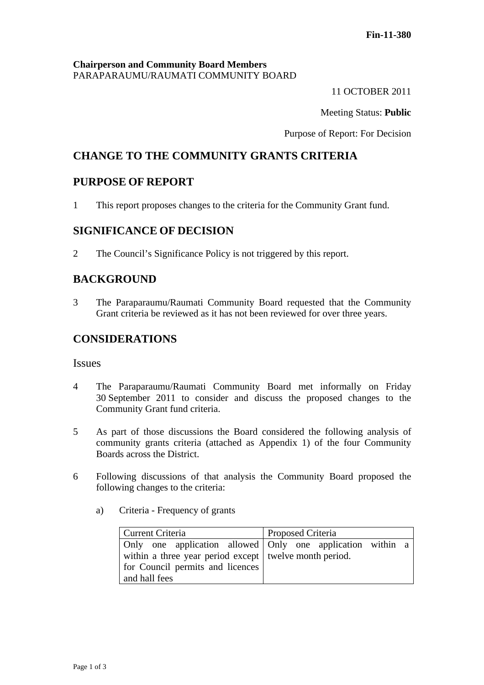#### **Chairperson and Community Board Members** PARAPARAUMU/RAUMATI COMMUNITY BOARD

11 OCTOBER 2011

Meeting Status: **Public**

Purpose of Report: For Decision

# **CHANGE TO THE COMMUNITY GRANTS CRITERIA**

## **PURPOSE OF REPORT**

1 This report proposes changes to the criteria for the Community Grant fund.

## **SIGNIFICANCE OF DECISION**

2 The Council's Significance Policy is not triggered by this report.

## **BACKGROUND**

3 The Paraparaumu/Raumati Community Board requested that the Community Grant criteria be reviewed as it has not been reviewed for over three years.

## **CONSIDERATIONS**

#### **Issues**

- 4 The Paraparaumu/Raumati Community Board met informally on Friday 30 September 2011 to consider and discuss the proposed changes to the Community Grant fund criteria.
- 5 As part of those discussions the Board considered the following analysis of community grants criteria (attached as Appendix 1) of the four Community Boards across the District.
- 6 Following discussions of that analysis the Community Board proposed the following changes to the criteria:
	- a) Criteria Frequency of grants

| Current Criteria                                         | <b>Proposed Criteria</b>                                     |  |  |
|----------------------------------------------------------|--------------------------------------------------------------|--|--|
|                                                          | Only one application allowed   Only one application within a |  |  |
| within a three year period except   twelve month period. |                                                              |  |  |
| for Council permits and licences                         |                                                              |  |  |
| and hall fees                                            |                                                              |  |  |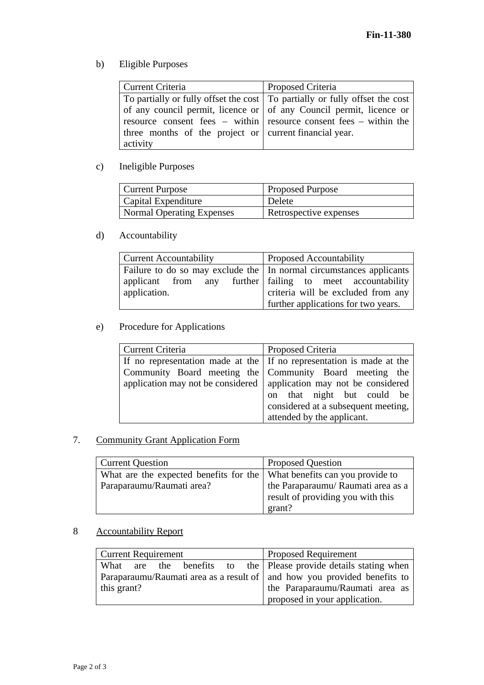b) Eligible Purposes

| Current Criteria                                               | <b>Proposed Criteria</b>                                                      |  |  |
|----------------------------------------------------------------|-------------------------------------------------------------------------------|--|--|
|                                                                | To partially or fully offset the cost   To partially or fully offset the cost |  |  |
|                                                                | of any council permit, licence or $\vert$ of any Council permit, licence or   |  |  |
|                                                                | resource consent fees – within resource consent fees – within the             |  |  |
| three months of the project or $\vert$ current financial year. |                                                                               |  |  |
| activity                                                       |                                                                               |  |  |

# c) Ineligible Purposes

| Current Purpose           | <b>Proposed Purpose</b> |
|---------------------------|-------------------------|
| Capital Expenditure       | Delete                  |
| Normal Operating Expenses | Retrospective expenses  |

## d) Accountability

| Current Accountability                                                                                                                           | <b>Proposed Accountability</b>                                            |  |
|--------------------------------------------------------------------------------------------------------------------------------------------------|---------------------------------------------------------------------------|--|
| Failure to do so may exclude the In normal circumstances applicants<br>applicant from any further failing to meet accountability<br>application. | criteria will be excluded from any<br>further applications for two years. |  |

# e) Procedure for Applications

| Current Criteria | Proposed Criteria                                                     |  |  |
|------------------|-----------------------------------------------------------------------|--|--|
|                  | If no representation made at the If no representation is made at the  |  |  |
|                  | Community Board meeting the Community Board meeting the               |  |  |
|                  | application may not be considered   application may not be considered |  |  |
|                  | on that night but could be                                            |  |  |
|                  | considered at a subsequent meeting,                                   |  |  |
|                  | attended by the applicant.                                            |  |  |

## 7. Community Grant Application Form

| <b>Current Question</b>                                                 | <b>Proposed Question</b>           |  |
|-------------------------------------------------------------------------|------------------------------------|--|
| What are the expected benefits for the What benefits can you provide to |                                    |  |
| Paraparaumu/Raumati area?                                               | the Paraparaumu/ Raumati area as a |  |
|                                                                         | result of providing you with this  |  |
|                                                                         | grant?                             |  |

# 8 Accountability Report

| <b>Current Requirement</b>                                                 | <b>Proposed Requirement</b>     |  |  |  |
|----------------------------------------------------------------------------|---------------------------------|--|--|--|
| What are the benefits to the Please provide details stating when           |                                 |  |  |  |
| Paraparaumu/Raumati area as a result of   and how you provided benefits to |                                 |  |  |  |
| this grant?                                                                | the Paraparaumu/Raumati area as |  |  |  |
|                                                                            | proposed in your application.   |  |  |  |